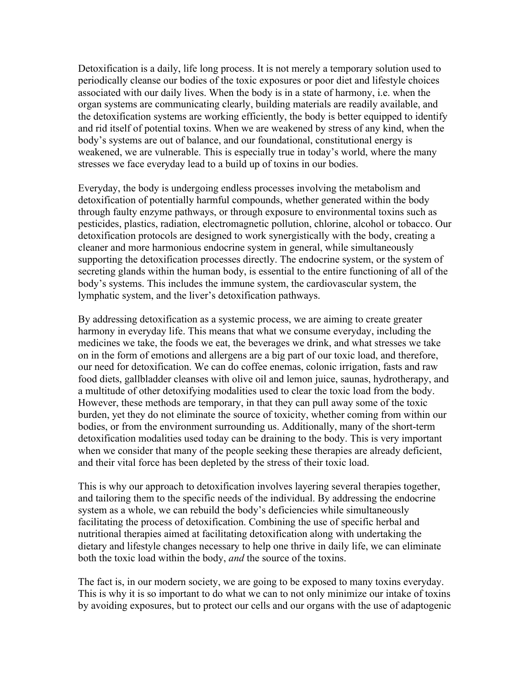Detoxification is a daily, life long process. It is not merely a temporary solution used to periodically cleanse our bodies of the toxic exposures or poor diet and lifestyle choices associated with our daily lives. When the body is in a state of harmony, i.e. when the organ systems are communicating clearly, building materials are readily available, and the detoxification systems are working efficiently, the body is better equipped to identify and rid itself of potential toxins. When we are weakened by stress of any kind, when the body's systems are out of balance, and our foundational, constitutional energy is weakened, we are vulnerable. This is especially true in today's world, where the many stresses we face everyday lead to a build up of toxins in our bodies.

Everyday, the body is undergoing endless processes involving the metabolism and detoxification of potentially harmful compounds, whether generated within the body through faulty enzyme pathways, or through exposure to environmental toxins such as pesticides, plastics, radiation, electromagnetic pollution, chlorine, alcohol or tobacco. Our detoxification protocols are designed to work synergistically with the body, creating a cleaner and more harmonious endocrine system in general, while simultaneously supporting the detoxification processes directly. The endocrine system, or the system of secreting glands within the human body, is essential to the entire functioning of all of the body's systems. This includes the immune system, the cardiovascular system, the lymphatic system, and the liver's detoxification pathways.

By addressing detoxification as a systemic process, we are aiming to create greater harmony in everyday life. This means that what we consume everyday, including the medicines we take, the foods we eat, the beverages we drink, and what stresses we take on in the form of emotions and allergens are a big part of our toxic load, and therefore, our need for detoxification. We can do coffee enemas, colonic irrigation, fasts and raw food diets, gallbladder cleanses with olive oil and lemon juice, saunas, hydrotherapy, and a multitude of other detoxifying modalities used to clear the toxic load from the body. However, these methods are temporary, in that they can pull away some of the toxic burden, yet they do not eliminate the source of toxicity, whether coming from within our bodies, or from the environment surrounding us. Additionally, many of the short-term detoxification modalities used today can be draining to the body. This is very important when we consider that many of the people seeking these therapies are already deficient, and their vital force has been depleted by the stress of their toxic load.

This is why our approach to detoxification involves layering several therapies together, and tailoring them to the specific needs of the individual. By addressing the endocrine system as a whole, we can rebuild the body's deficiencies while simultaneously facilitating the process of detoxification. Combining the use of specific herbal and nutritional therapies aimed at facilitating detoxification along with undertaking the dietary and lifestyle changes necessary to help one thrive in daily life, we can eliminate both the toxic load within the body, *and* the source of the toxins.

The fact is, in our modern society, we are going to be exposed to many toxins everyday. This is why it is so important to do what we can to not only minimize our intake of toxins by avoiding exposures, but to protect our cells and our organs with the use of adaptogenic